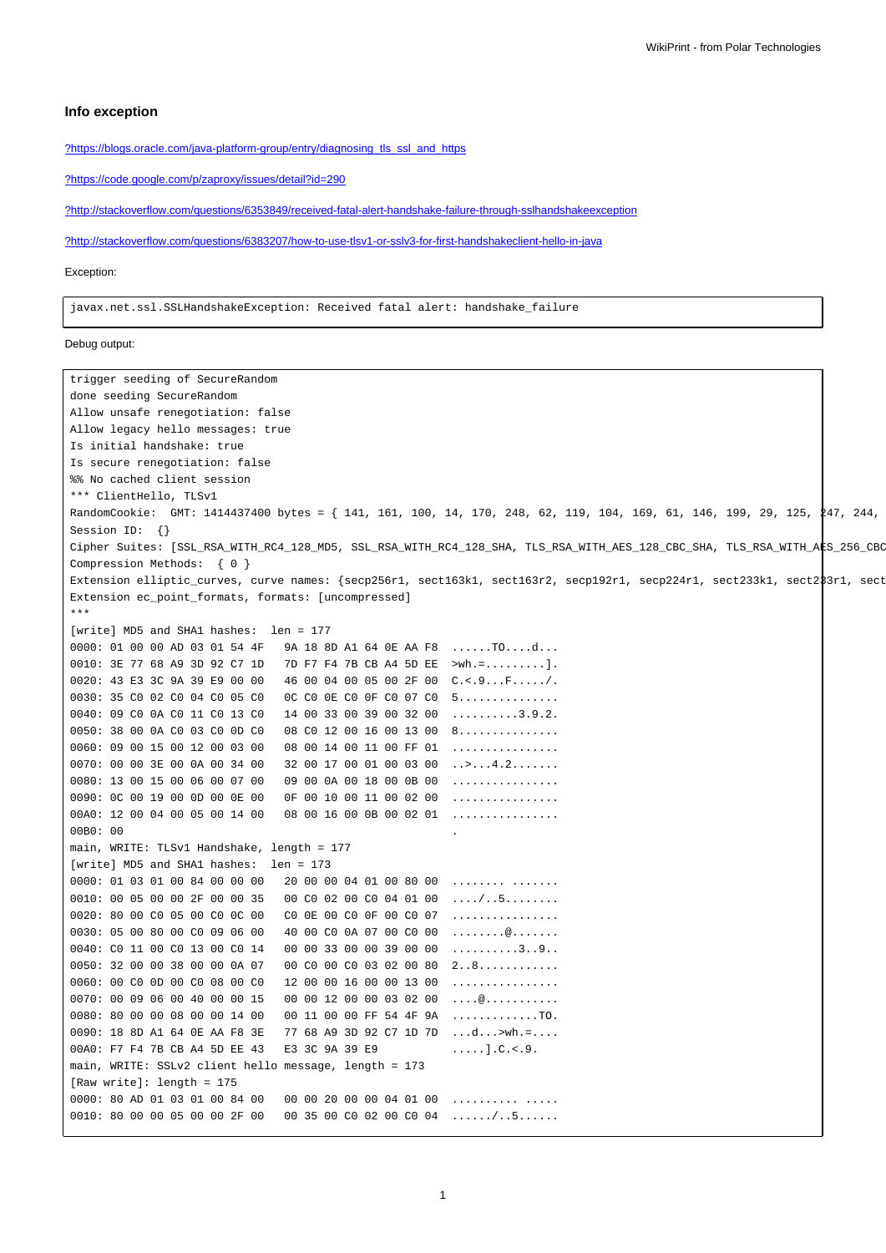## **Info exception**

[?https://blogs.oracle.com/java-platform-group/entry/diagnosing\\_tls\\_ssl\\_and\\_https](https://blogs.oracle.com/java-platform-group/entry/diagnosing_tls_ssl_and_https)

[?https://code.google.com/p/zaproxy/issues/detail?id=290](https://code.google.com/p/zaproxy/issues/detail?id=290)

[?http://stackoverflow.com/questions/6353849/received-fatal-alert-handshake-failure-through-sslhandshakeexception](http://stackoverflow.com/questions/6353849/received-fatal-alert-handshake-failure-through-sslhandshakeexception)

[?http://stackoverflow.com/questions/6383207/how-to-use-tlsv1-or-sslv3-for-first-handshakeclient-hello-in-java](http://stackoverflow.com/questions/6383207/how-to-use-tlsv1-or-sslv3-for-first-handshakeclient-hello-in-java)

#### Exception:

javax.net.ssl.SSLHandshakeException: Received fatal alert: handshake\_failure

#### Debug output:

```
trigger seeding of SecureRandom
done seeding SecureRandom
Allow unsafe renegotiation: false
Allow legacy hello messages: true
Is initial handshake: true
Is secure renegotiation: false
%% No cached client session
*** ClientHello, TLSv1
RandomCookie: GMT: 1414437400 bytes = { 141, 161, 100, 14, 170, 248, 62, 119, 104, 169, 61, 146, 199, 29, 125, 247, 244,
Session ID: {}
Cipher Suites: [SSL_RSA_WITH_RC4_128_MD5, SSL_RSA_WITH_RC4_128_SHA, TLS_RSA_WITH_AES_128_CBC_SHA, TLS_RSA_WITH_A$S_256_CBC
Compression Methods: { 0 }
Extension elliptic_curves, curve names: {secp256r1, sect163k1, sect163r2, secp192r1, secp224r1, sect233k1, sect283r1, sect
Extension ec_point_formats, formats: [uncompressed]
***
[write] MD5 and SHA1 hashes: len = 177
0000: 01 00 00 AD 03 01 54 4F 9A 18 8D A1 64 0E AA F8 ......TO....d...
0010: 3E 77 68 A9 3D 92 C7 1D 7D F7 F4 7B CB A4 5D EE >wh.=.........].
0020: 43 E3 3C 9A 39 E9 00 00 46 00 04 00 05 00 2F 00 C.<.9...F...../.
0030: 35 C0 02 C0 04 C0 05 C0 0C C0 0E C0 0F C0 07 C0 5...............
0040: 09 C0 0A C0 11 C0 13 C0 14 00 33 00 39 00 32 00 ..........3.9.2.
0050: 38 00 0A C0 03 C0 0D C0 08 C0 12 00 16 00 13 00 8...............
0060: 09 00 15 00 12 00 03 00 08 00 14 00 11 00 FF 01 ................
0070: 00 00 3E 00 0A 00 34 00 32 00 17 00 01 00 03 00 ..>...4.2.......
0080: 13 00 15 00 06 00 07 00 09 00 0A 00 18 00 0B 00 ................
0090: 0C 00 19 00 0D 00 0E 00 0F 00 10 00 11 00 02 00 ................
00A0: 12 00 04 00 05 00 14 00 08 00 16 00 0B 00 02 01 ................
00B0: 00 .
main, WRITE: TLSv1 Handshake, length = 177
[write] MD5 and SHA1 hashes: len = 173
0000: 01 03 01 00 84 00 00 00 02 00 00 04 01 00 80 00 ........ .......
0010: 00 05 00 00 2F 00 00 35 00 C0 02 00 C0 04 01 00 ..../..5........
0020: 80 00 C0 05 00 C0 0C 00 C0 0E 00 C0 0F 00 C0 07 ................
0030: 05 00 80 00 C0 09 06 00  40 00 C0 0A 07 00 C0 00 ..........................
0040: C0 11 00 C0 13 00 C0 14 00 00 33 00 00 39 00 00 ..........3..9..
0050: 32 00 00 38 00 00 0A 07 00 C0 00 C0 03 02 00 80 2..8...........
0060: 00 C0 OD 00 C0 08 00 C0 12 00 00 16 00 00 13 00 ................
0070: 00 09 06 00 40 00 00 15 00 00 12 00 00 03 02 00 ....@...........
0080: 80 00 00 08 00 00 14 00  00 11 00 00 FF 54 4F 9A ....................
0090: 18 8D A1 64 0E AA F8 3E 77 68 A9 3D 92 C7 1D 7D ...d...>wh.=....
00A0: F7 F4 7B CB A4 5D EE 43 E3 3C 9A 39 E9 .....].C.<.9.
main, WRITE: SSLv2 client hello message, length = 173
[Raw write]: length = 175
0000: 80 AD 01 03 01 00 84 00  00 00 20 00 00 04 01 00 ...................
0010: 80 00 00 05 00 00 2F 00 00 35 00 C0 02 00 C0 04 ....../..5......
```